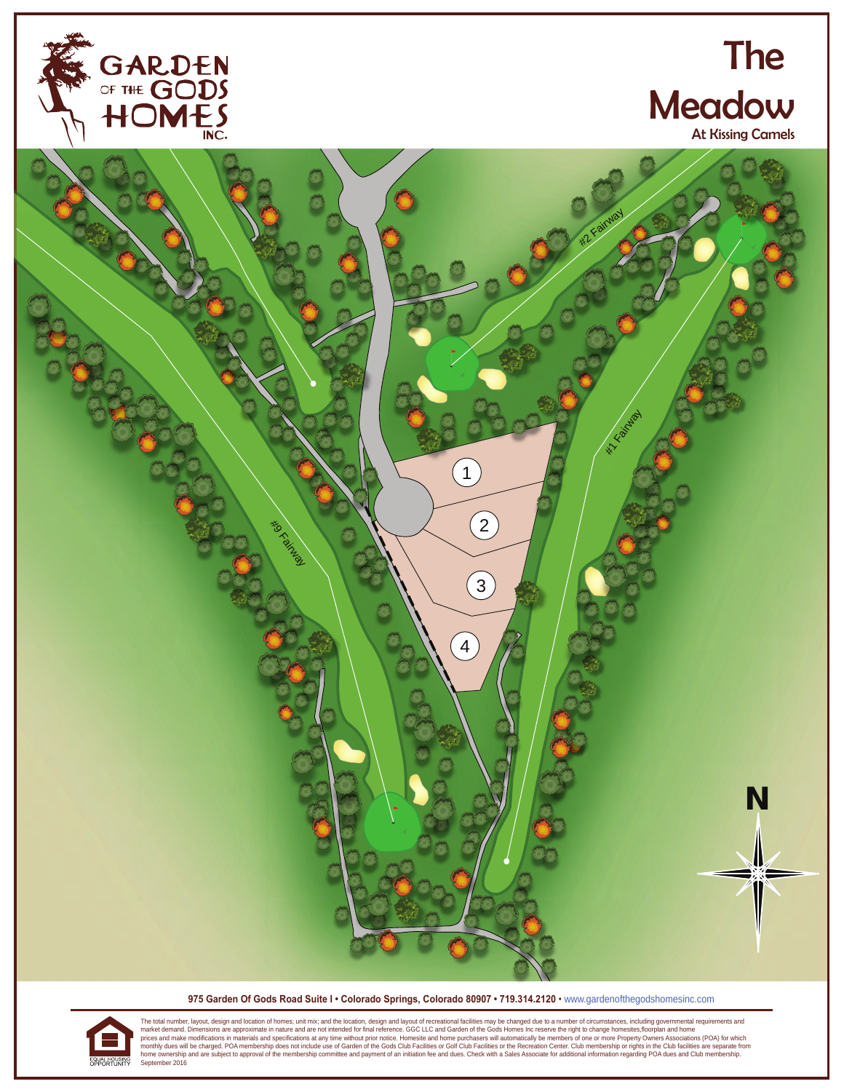

## The **Meadow**

At Kissing Camels



 **975 Garden Of Gods Road Suite I • Colorado Springs, Colorado 80907 • 719.314.2120** • www.gardenofthegodshomesinc.com



The total number, layout, design and location of homes; unit mix; and the location, design and layout of recreational facilities may be changed due to a number of circumstances, including governmental requirements and mate